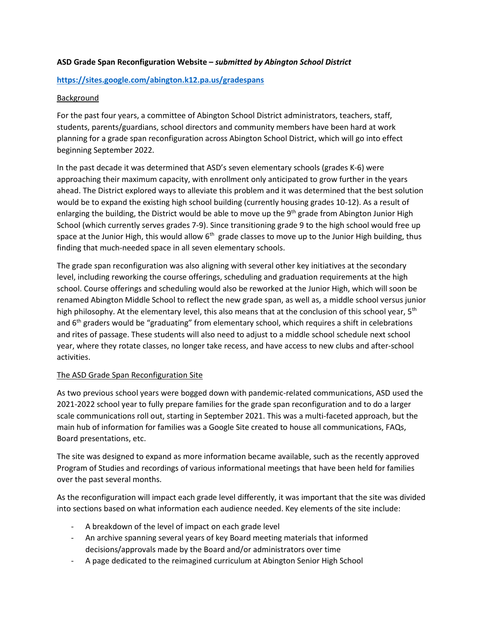# **ASD Grade Span Reconfiguration Website –** *submitted by Abington School District*

# **<https://sites.google.com/abington.k12.pa.us/gradespans>**

# Background

For the past four years, a committee of Abington School District administrators, teachers, staff, students, parents/guardians, school directors and community members have been hard at work planning for a grade span reconfiguration across Abington School District, which will go into effect beginning September 2022.

In the past decade it was determined that ASD's seven elementary schools (grades K-6) were approaching their maximum capacity, with enrollment only anticipated to grow further in the years ahead. The District explored ways to alleviate this problem and it was determined that the best solution would be to expand the existing high school building (currently housing grades 10-12). As a result of enlarging the building, the District would be able to move up the  $9<sup>th</sup>$  grade from Abington Junior High School (which currently serves grades 7-9). Since transitioning grade 9 to the high school would free up space at the Junior High, this would allow  $6<sup>th</sup>$  grade classes to move up to the Junior High building, thus finding that much-needed space in all seven elementary schools.

The grade span reconfiguration was also aligning with several other key initiatives at the secondary level, including reworking the course offerings, scheduling and graduation requirements at the high school. Course offerings and scheduling would also be reworked at the Junior High, which will soon be renamed Abington Middle School to reflect the new grade span, as well as, a middle school versus junior high philosophy. At the elementary level, this also means that at the conclusion of this school year,  $5<sup>th</sup>$ and  $6<sup>th</sup>$  graders would be "graduating" from elementary school, which requires a shift in celebrations and rites of passage. These students will also need to adjust to a middle school schedule next school year, where they rotate classes, no longer take recess, and have access to new clubs and after-school activities.

### The ASD Grade Span Reconfiguration Site

As two previous school years were bogged down with pandemic-related communications, ASD used the 2021-2022 school year to fully prepare families for the grade span reconfiguration and to do a larger scale communications roll out, starting in September 2021. This was a multi-faceted approach, but the main hub of information for families was a Google Site created to house all communications, FAQs, Board presentations, etc.

The site was designed to expand as more information became available, such as the recently approved Program of Studies and recordings of various informational meetings that have been held for families over the past several months.

As the reconfiguration will impact each grade level differently, it was important that the site was divided into sections based on what information each audience needed. Key elements of the site include:

- A breakdown of the level of impact on each grade level
- An archive spanning several years of key Board meeting materials that informed decisions/approvals made by the Board and/or administrators over time
- A page dedicated to the reimagined curriculum at Abington Senior High School